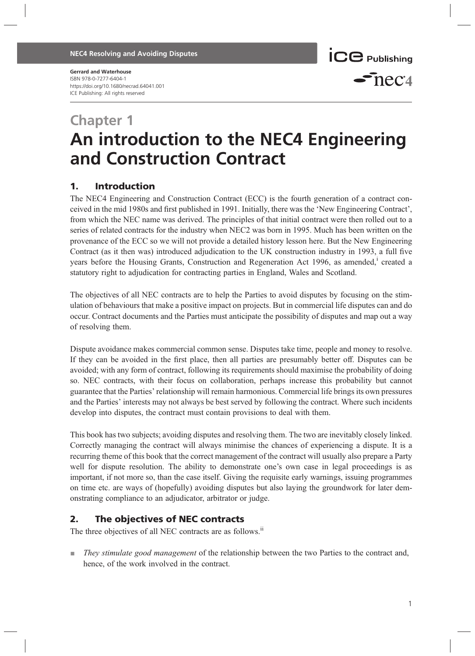#### NEC4 Resolving and Avoiding Disputes



#### Gerrard and Waterhouse

ISBN 978-0-7277-6404-1 https://doi.org/10.1680/necrad.64041.001 ICE Publishing: All rights reserved

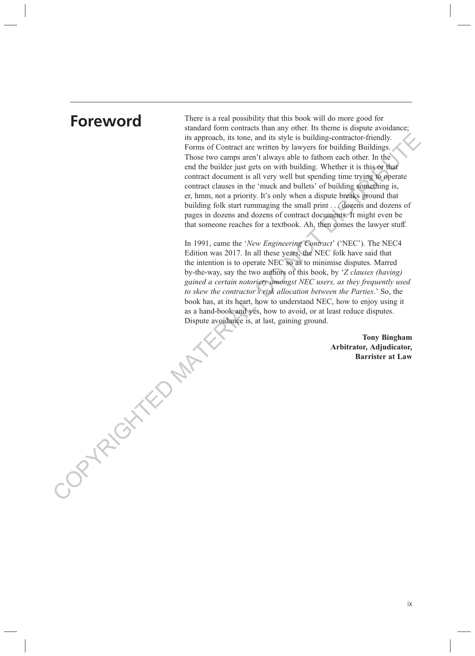COPYRIGHTED MATERIAL.

**Foreword** There is a real possibility that this book will do more good for standard form contracts than any other. Its theme is dispute avoidance; its approach, its tone, and its style is building-contractor-friendly. Forms of Contract are written by lawyers for building Buildings. Those two camps aren't always able to fathom each other. In the end the builder just gets on with building. Whether it is this or that contract document is all very well but spending time trying to operate contract clauses in the 'muck and bullets' of building something is, er, hmm, not a priority. It's only when a dispute breaks ground that building folk start rummaging the small print . . . dozens and dozens of pages in dozens and dozens of contract documents. It might even be that someone reaches for a textbook. Ah, then comes the lawyer stuff.

> In 1991, came the 'New Engineering Contract' ('NEC'). The NEC4 Edition was 2017. In all these years, the NEC folk have said that the intention is to operate NEC so as to minimise disputes. Marred by-the-way, say the two authors of this book, by 'Z clauses (having) gained a certain notoriety amongst NEC users, as they frequently used to skew the contractor's risk allocation between the Parties.' So, the book has, at its heart, how to understand NEC, how to enjoy using it as a hand-book and yes, how to avoid, or at least reduce disputes. Dispute avoidance is, at last, gaining ground.

> > Tony Bingham Arbitrator, Adjudicator, Barrister at Law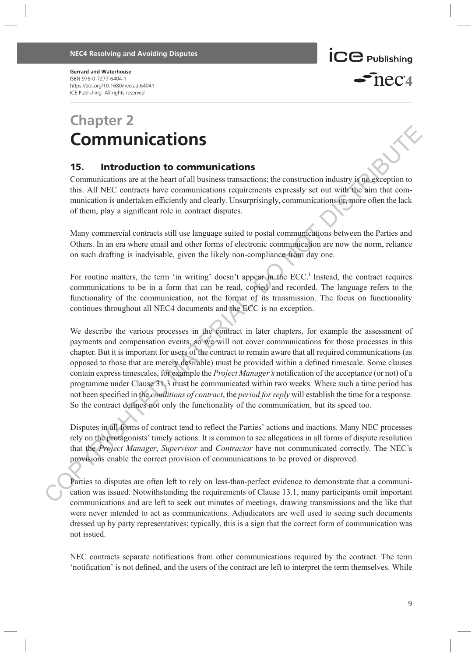Gerrard and Waterhouse ISBN 978-0-7277-6404-1 https://doi.org/10.1680/necrad.64041 ICE Publishing: All rights reserved

### **ICC** Publishing  $\epsilon$ nec $\alpha$

## Chapter 2 Communications

### 15. Introduction to communications

Communications are at the heart of all business transactions; the construction industry is no exception to this. All NEC contracts have communications requirements expressly set out with the aim that communication is undertaken efficiently and clearly. Unsurprisingly, communications or, more often the lack of them, play a significant role in contract disputes.

Many commercial contracts still use language suited to postal communications between the Parties and Others. In an era where email and other forms of electronic communication are now the norm, reliance on such drafting is inadvisable, given the likely non-compliance from day one.

For routine matters, the term 'in writing' doesn't appear in the ECC.<sup>1</sup> Instead, the contract requires communications to be in a form that can be read, copied and recorded. The language refers to the functionality of the communication, not the format of its transmission. The focus on functionality continues throughout all NEC4 documents and the ECC is no exception.

We describe the various processes in the contract in later chapters, for example the assessment of payments and compensation events, so we will not cover communications for those processes in this chapter. But it is important for users of the contract to remain aware that all required communications (as opposed to those that are merely desirable) must be provided within a defined timescale. Some clauses contain express timescales, for example the *Project Manager's* notification of the acceptance (or not) of a programme under Clause 31.3 must be communicated within two weeks. Where such a time period has not been specified in the *conditions of contract*, the *period for reply* will establish the time for a response. So the contract defines not only the functionality of the communication, but its speed too. **COMMUNICATIONS**<br> **COMMUNICATIONS**<br> **COMMUNICATIONS**<br> **COMMUNICATIONS**<br> **COMMUNICATIONS**<br> **COMMUNICATIONS**<br> **CONDIFICATIONS**<br> **CONDIFICATIONS**<br> **CONDIFICATIONS**<br> **CONDIFICATIONS**<br> **CONDIFICATIONS**<br> **CONDIFICATIONS**<br> **COND** 

Disputes in all forms of contract tend to reflect the Parties' actions and inactions. Many NEC processes rely on the protagonists' timely actions. It is common to see allegations in all forms of dispute resolution that the Project Manager, Supervisor and Contractor have not communicated correctly. The NEC's provisions enable the correct provision of communications to be proved or disproved.

Parties to disputes are often left to rely on less-than-perfect evidence to demonstrate that a communication was issued. Notwithstanding the requirements of Clause 13.1, many participants omit important communications and are left to seek out minutes of meetings, drawing transmissions and the like that were never intended to act as communications. Adjudicators are well used to seeing such documents dressed up by party representatives; typically, this is a sign that the correct form of communication was not issued.

NEC contracts separate notifications from other communications required by the contract. The term 'notification' is not defined, and the users of the contract are left to interpret the term themselves. While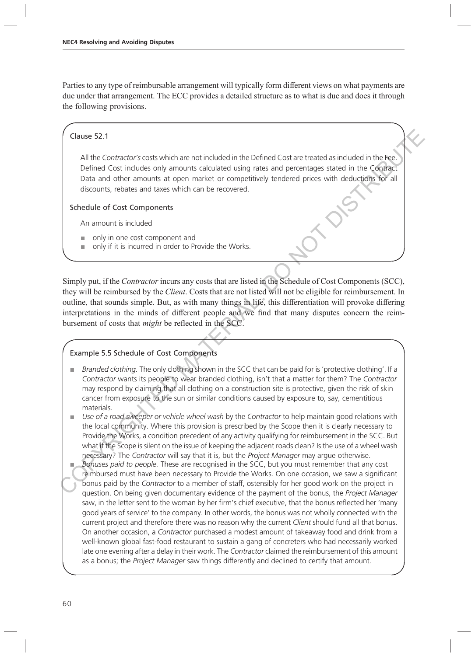Parties to any type of reimbursable arrangement will typically form different views on what payments are due under that arrangement. The ECC provides a detailed structure as to what is due and does it through the following provisions.

#### Clause 52.1

All the Contractor's costs which are not included in the Defined Cost are treated as included in the Fee. Defined Cost includes only amounts calculated using rates and percentages stated in the Contract Data and other amounts at open market or competitively tendered prices with deductions for all discounts, rebates and taxes which can be recovered.

#### Schedule of Cost Components

An amount is included

- only in one cost component and
- only if it is incurred in order to Provide the Works.

Simply put, if the *Contractor* incurs any costs that are listed in the Schedule of Cost Components (SCC), they will be reimbursed by the *Client*. Costs that are not listed will not be eligible for reimbursement. In outline, that sounds simple. But, as with many things in life, this differentiation will provoke differing interpretations in the minds of different people and we find that many disputes concern the reimbursement of costs that might be reflected in the SCC. Clause 52.1<br>
All the *Contractor's* costs which are not included in the Defined Cost are treated as included in the Real<br>
Defined Cost includes only anounts calculated using ratios and percentages stated in the Configurat

#### Example 5.5 Schedule of Cost Components

- Branded clothing. The only clothing shown in the SCC that can be paid for is 'protective clothing'. If a Contractor wants its people to wear branded clothing, isn't that a matter for them? The Contractor may respond by claiming that all clothing on a construction site is protective, given the risk of skin cancer from exposure to the sun or similar conditions caused by exposure to, say, cementitious materials.
- Use of a road sweeper or vehicle wheel wash by the Contractor to help maintain good relations with the local community. Where this provision is prescribed by the Scope then it is clearly necessary to Provide the Works, a condition precedent of any activity qualifying for reimbursement in the SCC. But what if the Scope is silent on the issue of keeping the adjacent roads clean? Is the use of a wheel wash necessary? The Contractor will say that it is, but the Project Manager may argue otherwise.
- Bonuses paid to people. These are recognised in the SCC, but you must remember that any cost reimbursed must have been necessary to Provide the Works. On one occasion, we saw a significant bonus paid by the Contractor to a member of staff, ostensibly for her good work on the project in question. On being given documentary evidence of the payment of the bonus, the Project Manager saw, in the letter sent to the woman by her firm's chief executive, that the bonus reflected her 'many good years of service' to the company. In other words, the bonus was not wholly connected with the current project and therefore there was no reason why the current Client should fund all that bonus. On another occasion, a Contractor purchased a modest amount of takeaway food and drink from a well-known global fast-food restaurant to sustain a gang of concreters who had necessarily worked late one evening after a delay in their work. The Contractor claimed the reimbursement of this amount as a bonus; the Project Manager saw things differently and declined to certify that amount.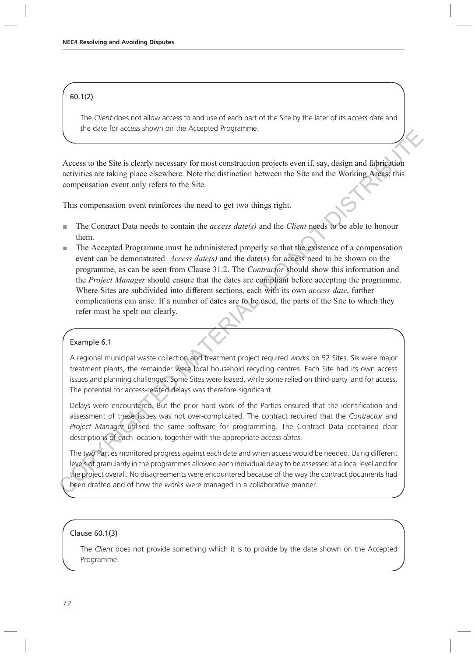#### 60.1(2)

The Client does not allow access to and use of each part of the Site by the later of its access date and the date for access shown on the Accepted Programme.

Access to the Site is clearly necessary for most construction projects even if, say, design and fabrication activities are taking place elsewhere. Note the distinction between the Site and the Working Areas; this compensation event only refers to the Site.

This compensation event reinforces the need to get two things right.

- $\blacksquare$  The Contract Data needs to contain the *access date(s)* and the *Client* needs to be able to honour them.
- The Accepted Programme must be administered properly so that the existence of a compensation event can be demonstrated. Access date(s) and the date(s) for access need to be shown on the programme, as can be seen from Clause 31.2. The Contractor should show this information and the *Project Manager* should ensure that the dates are compliant before accepting the programme. Where Sites are subdivided into different sections, each with its own access date, further complications can arise. If a number of dates are to be used, the parts of the Site to which they refer must be spelt out clearly. Conclusion declines are the steepned construction projects even if, say, design and fabrication activities are taking place elseviewers. Note the distinction between the Site, and fabrication activities are taking place e

#### Example 6.1

A regional municipal waste collection and treatment project required works on 52 Sites. Six were major treatment plants, the remainder were local household recycling centres. Each Site had its own access issues and planning challenges. Some Sites were leased, while some relied on third-party land for access. The potential for access-related delays was therefore significant.

Delays were encountered. But the prior hard work of the Parties ensured that the identification and assessment of these issues was not over-complicated. The contract required that the Contractor and Project Manager utilised the same software for programming. The Contract Data contained clear descriptions of each location, together with the appropriate access dates.

The two Parties monitored progress against each date and when access would be needed. Using different levels of granularity in the programmes allowed each individual delay to be assessed at a local level and for the project overall. No disagreements were encountered because of the way the contract documents had been drafted and of how the works were managed in a collaborative manner.

#### Clause 60.1(3)

The Client does not provide something which it is to provide by the date shown on the Accepted Programme.